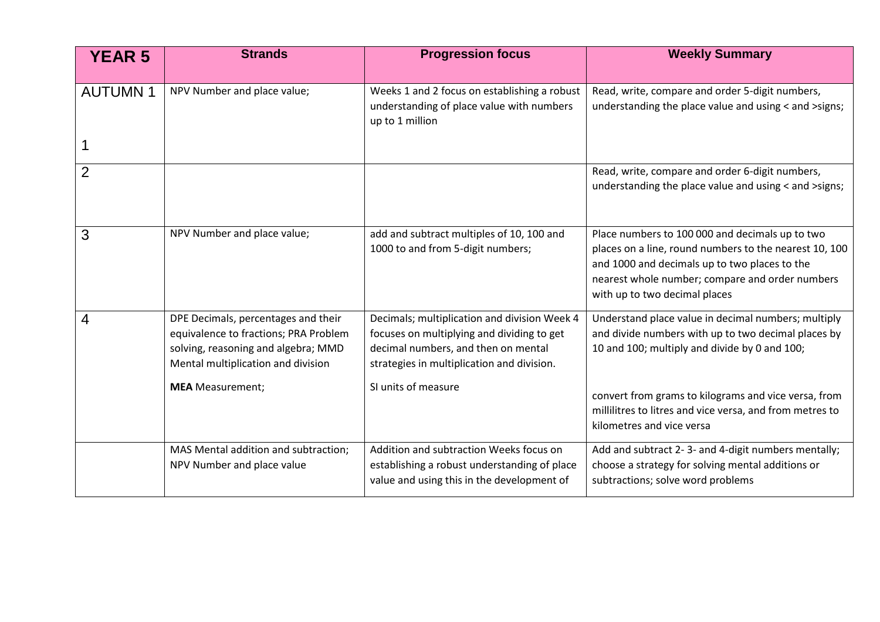| <b>YEAR 5</b>  | <b>Strands</b>                        | <b>Progression focus</b>                                     | <b>Weekly Summary</b>                                                            |
|----------------|---------------------------------------|--------------------------------------------------------------|----------------------------------------------------------------------------------|
|                |                                       |                                                              |                                                                                  |
| <b>AUTUMN1</b> | NPV Number and place value;           | Weeks 1 and 2 focus on establishing a robust                 | Read, write, compare and order 5-digit numbers,                                  |
|                |                                       | understanding of place value with numbers<br>up to 1 million | understanding the place value and using < and > signs;                           |
|                |                                       |                                                              |                                                                                  |
| $\overline{2}$ |                                       |                                                              | Read, write, compare and order 6-digit numbers,                                  |
|                |                                       |                                                              | understanding the place value and using < and > signs;                           |
| 3              | NPV Number and place value;           | add and subtract multiples of 10, 100 and                    | Place numbers to 100 000 and decimals up to two                                  |
|                |                                       | 1000 to and from 5-digit numbers;                            | places on a line, round numbers to the nearest 10, 100                           |
|                |                                       |                                                              | and 1000 and decimals up to two places to the                                    |
|                |                                       |                                                              | nearest whole number; compare and order numbers<br>with up to two decimal places |
| 4              | DPE Decimals, percentages and their   | Decimals; multiplication and division Week 4                 | Understand place value in decimal numbers; multiply                              |
|                | equivalence to fractions; PRA Problem | focuses on multiplying and dividing to get                   | and divide numbers with up to two decimal places by                              |
|                | solving, reasoning and algebra; MMD   | decimal numbers, and then on mental                          | 10 and 100; multiply and divide by 0 and 100;                                    |
|                | Mental multiplication and division    | strategies in multiplication and division.                   |                                                                                  |
|                | <b>MEA</b> Measurement;               | SI units of measure                                          | convert from grams to kilograms and vice versa, from                             |
|                |                                       |                                                              | millilitres to litres and vice versa, and from metres to                         |
|                |                                       |                                                              | kilometres and vice versa                                                        |
|                | MAS Mental addition and subtraction;  | Addition and subtraction Weeks focus on                      | Add and subtract 2-3- and 4-digit numbers mentally;                              |
|                | NPV Number and place value            | establishing a robust understanding of place                 | choose a strategy for solving mental additions or                                |
|                |                                       | value and using this in the development of                   | subtractions; solve word problems                                                |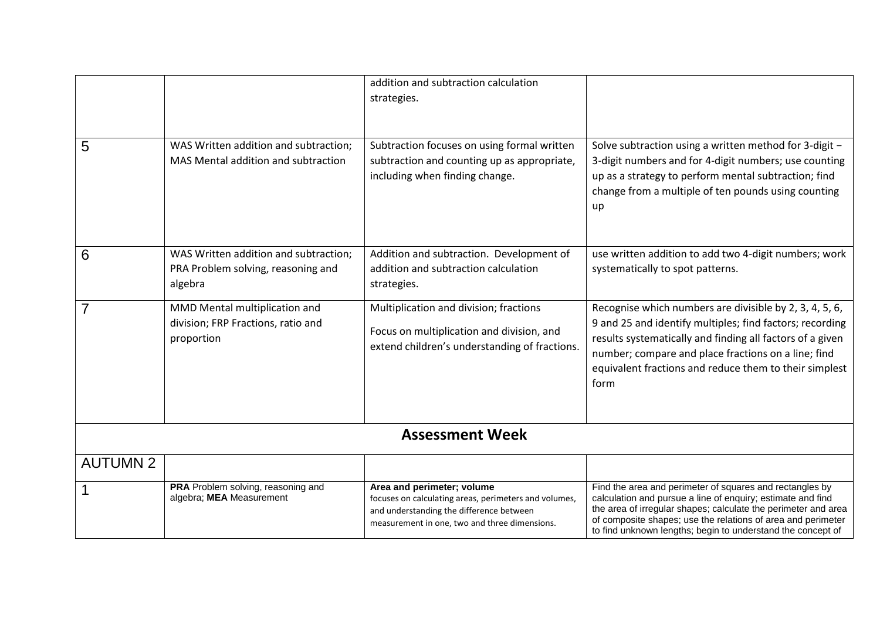|                        |                                                                                        | addition and subtraction calculation<br>strategies.                                                                                                                              |                                                                                                                                                                                                                                                                                                                          |  |  |  |
|------------------------|----------------------------------------------------------------------------------------|----------------------------------------------------------------------------------------------------------------------------------------------------------------------------------|--------------------------------------------------------------------------------------------------------------------------------------------------------------------------------------------------------------------------------------------------------------------------------------------------------------------------|--|--|--|
| 5                      | WAS Written addition and subtraction;<br>MAS Mental addition and subtraction           | Subtraction focuses on using formal written<br>subtraction and counting up as appropriate,<br>including when finding change.                                                     | Solve subtraction using a written method for 3-digit -<br>3-digit numbers and for 4-digit numbers; use counting<br>up as a strategy to perform mental subtraction; find<br>change from a multiple of ten pounds using counting<br>up                                                                                     |  |  |  |
| 6                      | WAS Written addition and subtraction;<br>PRA Problem solving, reasoning and<br>algebra | Addition and subtraction. Development of<br>addition and subtraction calculation<br>strategies.                                                                                  | use written addition to add two 4-digit numbers; work<br>systematically to spot patterns.                                                                                                                                                                                                                                |  |  |  |
| 7                      | MMD Mental multiplication and<br>division; FRP Fractions, ratio and<br>proportion      | Multiplication and division; fractions<br>Focus on multiplication and division, and<br>extend children's understanding of fractions.                                             | Recognise which numbers are divisible by 2, 3, 4, 5, 6,<br>9 and 25 and identify multiples; find factors; recording<br>results systematically and finding all factors of a given<br>number; compare and place fractions on a line; find<br>equivalent fractions and reduce them to their simplest<br>form                |  |  |  |
| <b>Assessment Week</b> |                                                                                        |                                                                                                                                                                                  |                                                                                                                                                                                                                                                                                                                          |  |  |  |
| <b>AUTUMN 2</b>        |                                                                                        |                                                                                                                                                                                  |                                                                                                                                                                                                                                                                                                                          |  |  |  |
|                        | PRA Problem solving, reasoning and<br>algebra; MEA Measurement                         | Area and perimeter; volume<br>focuses on calculating areas, perimeters and volumes,<br>and understanding the difference between<br>measurement in one, two and three dimensions. | Find the area and perimeter of squares and rectangles by<br>calculation and pursue a line of enquiry; estimate and find<br>the area of irregular shapes; calculate the perimeter and area<br>of composite shapes; use the relations of area and perimeter<br>to find unknown lengths; begin to understand the concept of |  |  |  |